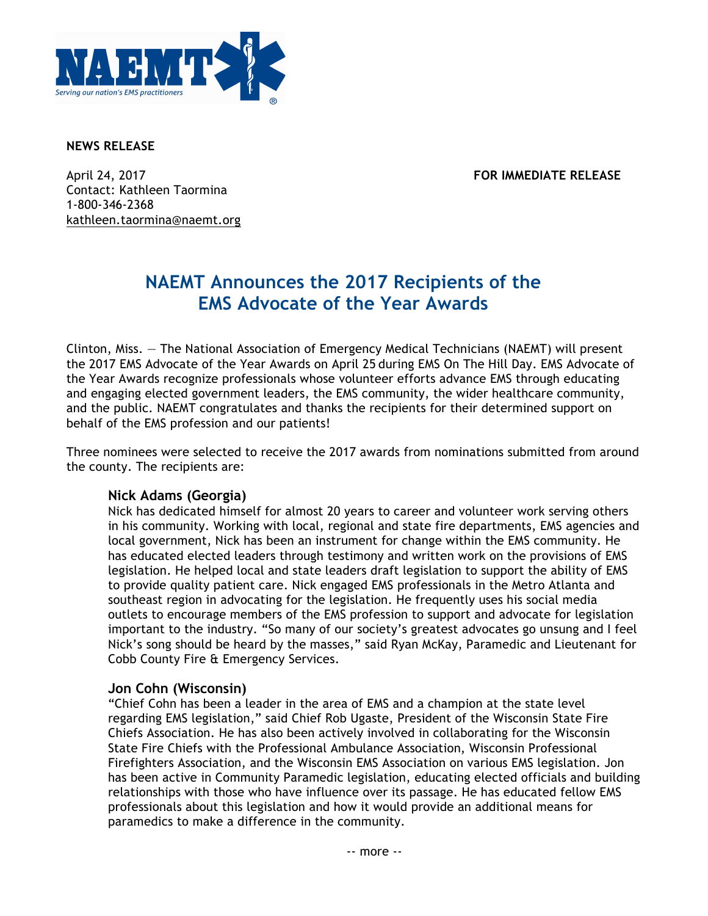

#### **NEWS RELEASE**

April 24, 2017 **FOR IMMEDIATE RELEASE** Contact: Kathleen Taormina 1-800-346-2368 kathleen.taormina@naemt.org

# **NAEMT Announces the 2017 Recipients of the EMS Advocate of the Year Awards**

Clinton, Miss. — The National Association of Emergency Medical Technicians (NAEMT) will present the 2017 EMS Advocate of the Year Awards on April 25 during EMS On The Hill Day. EMS Advocate of the Year Awards recognize professionals whose volunteer efforts advance EMS through educating and engaging elected government leaders, the EMS community, the wider healthcare community, and the public. NAEMT congratulates and thanks the recipients for their determined support on behalf of the EMS profession and our patients!

Three nominees were selected to receive the 2017 awards from nominations submitted from around the county. The recipients are:

### **Nick Adams (Georgia)**

Nick has dedicated himself for almost 20 years to career and volunteer work serving others in his community. Working with local, regional and state fire departments, EMS agencies and local government, Nick has been an instrument for change within the EMS community. He has educated elected leaders through testimony and written work on the provisions of EMS legislation. He helped local and state leaders draft legislation to support the ability of EMS to provide quality patient care. Nick engaged EMS professionals in the Metro Atlanta and southeast region in advocating for the legislation. He frequently uses his social media outlets to encourage members of the EMS profession to support and advocate for legislation important to the industry. "So many of our society's greatest advocates go unsung and I feel Nick's song should be heard by the masses," said Ryan McKay, Paramedic and Lieutenant for Cobb County Fire & Emergency Services.

### **Jon Cohn (Wisconsin)**

"Chief Cohn has been a leader in the area of EMS and a champion at the state level regarding EMS legislation," said Chief Rob Ugaste, President of the Wisconsin State Fire Chiefs Association. He has also been actively involved in collaborating for the Wisconsin State Fire Chiefs with the Professional Ambulance Association, Wisconsin Professional Firefighters Association, and the Wisconsin EMS Association on various EMS legislation. Jon has been active in Community Paramedic legislation, educating elected officials and building relationships with those who have influence over its passage. He has educated fellow EMS professionals about this legislation and how it would provide an additional means for paramedics to make a difference in the community.